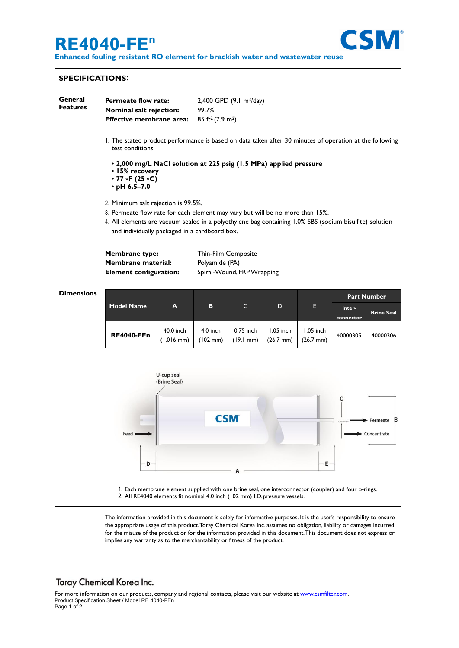# **RE4040-FE<sup>n</sup>**



**Enhanced fouling resistant RO element for brackish water and wastewater reuse**

### **SPECIFICATIONS**:

| General         | <b>Permeate flow rate:</b>      | $2,400$ GPD $(9.1 \text{ m}^3/\text{day})$ |  |
|-----------------|---------------------------------|--------------------------------------------|--|
| <b>Features</b> | <b>Nominal salt rejection:</b>  | 99.7%                                      |  |
|                 | <b>Effective membrane area:</b> | $85$ ft <sup>2</sup> (7.9 m <sup>2</sup> ) |  |

- 1. The stated product performance is based on data taken after 30 minutes of operation at the following test conditions:
	- **2,000 mg/L NaCl solution at 225 psig (1.5 MPa) applied pressure**
	- **15% recovery**
	- **77 oF (25 oC)**
	- **pH 6.5–7.0**
- 2. Minimum salt rejection is 99.5%.
- 3. Permeate flow rate for each element may vary but will be no more than 15%.
- 4. All elements are vacuum sealed in a polyethylene bag containing 1.0% SBS (sodium bisulfite) solution and individually packaged in a cardboard box.

| <b>Membrane type:</b>         | Thin-Film Composite        |
|-------------------------------|----------------------------|
| Membrane material:            | Polyamide (PA)             |
| <b>Element configuration:</b> | Spiral-Wound, FRP Wrapping |

| <b>Dimensions</b> |  |
|-------------------|--|
|                   |  |

|                   |                         |                                  |                                  |                        |                                  | <b>Part Number</b>  |                   |
|-------------------|-------------------------|----------------------------------|----------------------------------|------------------------|----------------------------------|---------------------|-------------------|
| <b>Model Name</b> | A                       | B                                | C                                | D                      | E.                               | Inter-<br>connector | <b>Brine Seal</b> |
| <b>RE4040-FEn</b> | 40.0 inch<br>(1,016 mm) | $4.0$ inch<br>$(102 \text{ mm})$ | 0.75 inch<br>$(19.1 \text{ mm})$ | 1.05 inch<br>(26.7 mm) | 1.05 inch<br>$(26.7 \text{ mm})$ | 40000305            | 40000306          |



1. Each membrane element supplied with one brine seal, one interconnector (coupler) and four o-rings. 2. All RE4040 elements fit nominal 4.0 inch (102 mm) I.D. pressure vessels.

The information provided in this document is solely for informative purposes. It is the user's responsibility to ensure the appropriate usage of this product.Toray Chemical Korea Inc. assumes no obligation, liability or damages incurred for the misuse of the product or for the information provided in this document.This document does not express or implies any warranty as to the merchantability or fitness of the product.

### **Toray Chemical Korea Inc.**

For more information on our products, company and regional contacts, please visit our website at [www.csmfilter.com.](http://www.csmfilter.com/) Product Specification Sheet / Model RE 4040-FEn Page 1 of 2